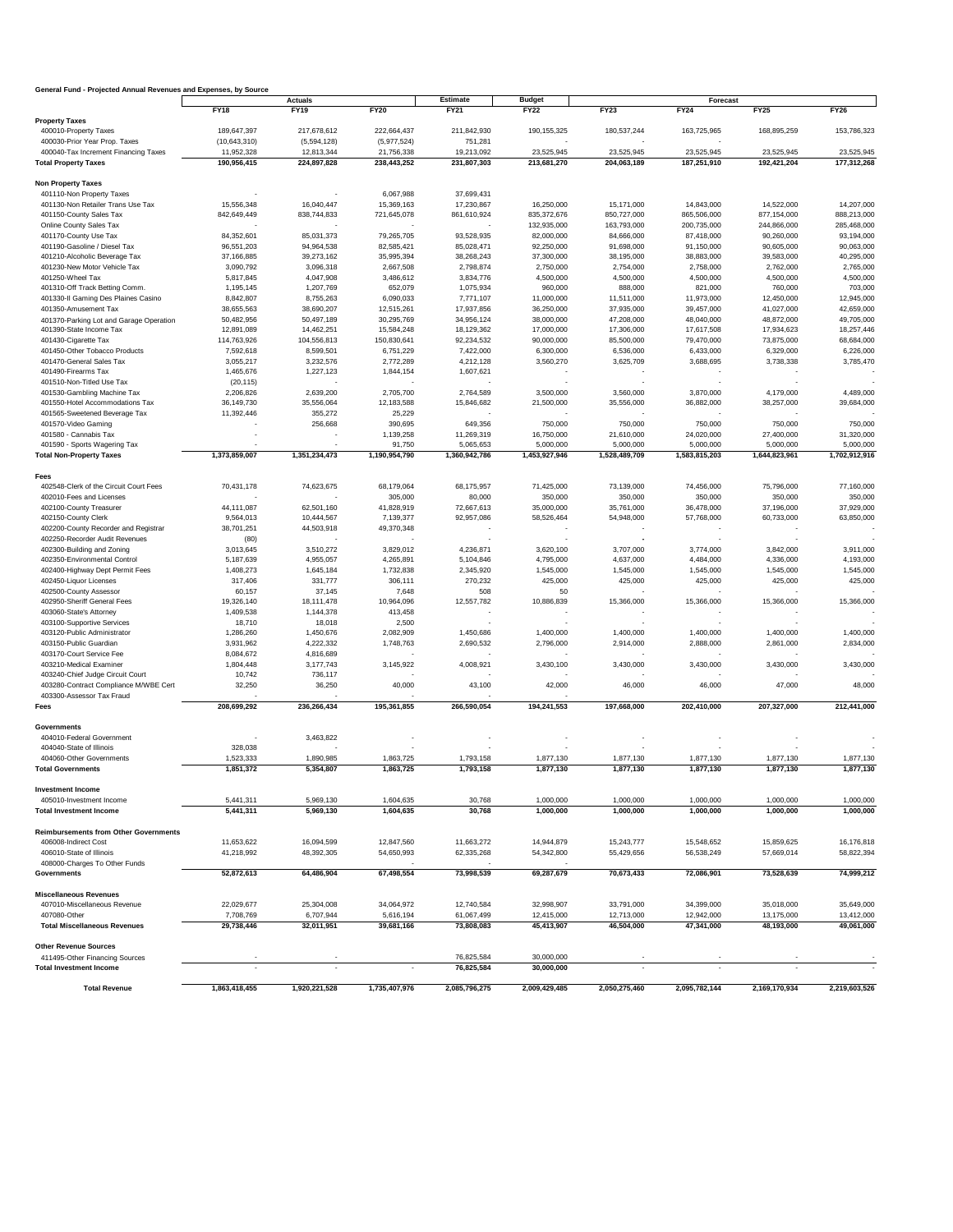## **General Fund - Projected Annual Revenues and Expenses, by Source**

| General Fund - Projected Annual Revenues and Expenses, by Source |                |               | <b>Estimate</b><br><b>Actuals</b> |               |                              |               |                         |               |               |
|------------------------------------------------------------------|----------------|---------------|-----------------------------------|---------------|------------------------------|---------------|-------------------------|---------------|---------------|
|                                                                  | <b>FY18</b>    | <b>FY19</b>   | <b>FY20</b>                       | <b>FY21</b>   | <b>Budget</b><br><b>FY22</b> | <b>FY23</b>   | Forecast<br><b>FY24</b> | FY25          | <b>FY26</b>   |
| <b>Property Taxes</b>                                            |                |               |                                   |               |                              |               |                         |               |               |
| 400010-Property Taxes                                            | 189,647,397    | 217,678,612   | 222,664,437                       | 211,842,930   | 190,155,325                  | 180,537,244   | 163,725,965             | 168,895,259   | 153,786,323   |
| 400030-Prior Year Prop. Taxes                                    | (10, 643, 310) | (5,594,128)   | (5,977,524)                       | 751,281       |                              |               |                         |               |               |
| 400040-Tax Increment Financing Taxes                             | 11,952,328     | 12,813,344    | 21,756,338                        | 19,213,092    | 23,525,945                   | 23,525,945    | 23,525,945              | 23,525,945    | 23,525,945    |
| <b>Total Property Taxes</b>                                      | 190,956,415    | 224,897,828   | 238,443,252                       | 231,807,303   | 213,681,270                  | 204,063,189   | 187,251,910             | 192,421,204   | 177,312,268   |
| <b>Non Property Taxes</b>                                        |                |               |                                   |               |                              |               |                         |               |               |
| 401110-Non Property Taxes                                        |                |               | 6,067,988                         | 37,699,431    |                              |               |                         |               |               |
| 401130-Non Retailer Trans Use Tax                                | 15,556,348     | 16,040,447    | 15,369,163                        | 17,230,867    | 16,250,000                   | 15,171,000    | 14,843,000              | 14,522,000    | 14,207,000    |
| 401150-County Sales Tax                                          | 842,649,449    | 838,744,833   | 721,645,078                       | 861,610,924   | 835,372,676                  | 850,727,000   | 865,506,000             | 877,154,000   | 888,213,000   |
| Online County Sales Tax                                          |                |               |                                   |               | 132,935,000                  | 163,793,000   | 200,735,000             | 244,866,000   | 285,468,000   |
| 401170-County Use Tax                                            | 84,352,601     | 85,031,373    | 79,265,705                        | 93,528,935    | 82,000,000                   | 84,666,000    | 87,418,000              | 90,260,000    | 93,194,000    |
| 401190-Gasoline / Diesel Tax                                     | 96,551,203     | 94,964,538    | 82,585,421                        | 85,028,471    | 92,250,000                   | 91,698,000    | 91,150,000              | 90,605,000    | 90,063,000    |
| 401210-Alcoholic Beverage Tax                                    | 37,166,885     | 39,273,162    | 35,995,394                        | 38,268,243    | 37,300,000                   | 38,195,000    | 38,883,000              | 39,583,000    | 40,295,000    |
| 401230-New Motor Vehicle Tax                                     | 3,090,792      | 3,096,318     | 2,667,508                         | 2,798,874     | 2,750,000                    | 2,754,000     | 2,758,000               | 2,762,000     | 2,765,000     |
| 401250-Wheel Tax                                                 | 5,817,845      | 4,047,908     | 3,486,612                         | 3,834,776     | 4,500,000                    | 4,500,000     | 4,500,000               | 4,500,000     | 4,500,000     |
| 401310-Off Track Betting Comm.                                   | 1,195,145      | 1,207,769     | 652,079                           | 1,075,934     | 960,000                      | 888,000       | 821,000                 | 760,000       | 703,000       |
| 401330-II Gaming Des Plaines Casino                              | 8,842,807      | 8,755,263     | 6,090,033                         | 7,771,107     | 11,000,000                   | 11,511,000    | 11,973,000              | 12,450,000    | 12,945,000    |
| 401350-Amusement Tax                                             | 38,655,563     | 38,690,207    | 12,515,261                        | 17,937,856    | 36,250,000                   | 37,935,000    | 39,457,000              | 41,027,000    | 42,659,000    |
| 401370-Parking Lot and Garage Operation                          | 50,482,956     | 50,497,189    | 30,295,769                        | 34,956,124    | 38,000,000                   | 47,208,000    | 48,040,000              | 48,872,000    | 49,705,000    |
| 401390-State Income Tax                                          | 12,891,089     | 14,462,251    | 15,584,248                        | 18,129,362    | 17,000,000                   | 17,306,000    | 17,617,508              | 17,934,623    | 18,257,446    |
| 401430-Cigarette Tax                                             | 114,763,926    | 104,556,813   | 150,830,641                       | 92,234,532    | 90,000,000                   | 85,500,000    | 79,470,000              | 73,875,000    | 68,684,000    |
| 401450-Other Tobacco Products                                    | 7,592,618      | 8,599,501     | 6,751,229                         | 7,422,000     | 6,300,000                    | 6,536,000     | 6,433,000               | 6,329,000     | 6,226,000     |
| 401470-General Sales Tax                                         | 3,055,217      | 3,232,576     | 2,772,289                         | 4,212,128     | 3,560,270                    | 3,625,709     | 3,688,695               | 3,738,338     | 3,785,470     |
| 401490-Firearms Tax                                              | 1,465,676      | 1,227,123     | 1,844,154                         | 1,607,621     |                              |               |                         |               |               |
| 401510-Non-Titled Use Tax                                        | (20, 115)      |               |                                   |               |                              |               |                         |               |               |
| 401530-Gambling Machine Tax                                      | 2,206,826      | 2,639,200     | 2,705,700                         | 2,764,589     | 3,500,000                    | 3,560,000     | 3,870,000               | 4,179,000     | 4,489,000     |
| 401550-Hotel Accommodations Tax                                  | 36,149,730     | 35,556,064    | 12,183,588                        | 15,846,682    | 21,500,000                   | 35,556,000    | 36,882,000              | 38,257,000    | 39,684,000    |
| 401565-Sweetened Beverage Tax                                    | 11,392,446     | 355,272       | 25,229                            |               |                              |               |                         |               |               |
| 401570-Video Gaming                                              |                | 256,668       | 390,695                           | 649,356       | 750,000                      | 750,000       | 750,000                 | 750,000       | 750,000       |
| 401580 - Cannabis Tax                                            |                |               | 1,139,258                         | 11,269,319    | 16,750,000                   | 21,610,000    | 24,020,000              | 27,400,000    | 31,320,000    |
| 401590 - Sports Wagering Tax                                     |                |               | 91,750                            | 5,065,653     | 5,000,000                    | 5,000,000     | 5,000,000               | 5,000,000     | 5,000,000     |
| <b>Total Non-Property Taxes</b>                                  | 1,373,859,007  | 1,351,234,473 | 1,190,954,790                     | 1,360,942,786 | 1,453,927,946                | 1,528,489,709 | 1,583,815,203           | 1,644,823,961 | 1,702,912,916 |
| <b>Fees</b>                                                      |                |               |                                   |               |                              |               |                         |               |               |
| 402548-Clerk of the Circuit Court Fees                           | 70,431,178     | 74,623,675    | 68,179,064                        | 68,175,957    | 71,425,000                   | 73,139,000    | 74,456,000              | 75,796,000    | 77,160,000    |
| 402010-Fees and Licenses                                         |                |               | 305,000                           | 80,000        | 350,000                      | 350,000       | 350,000                 | 350,000       | 350,000       |
| 402100-County Treasurer                                          | 44,111,087     | 62,501,160    | 41,828,919                        | 72,667,613    | 35,000,000                   | 35,761,000    | 36,478,000              | 37,196,000    | 37,929,000    |
| 402150-County Clerk                                              | 9,564,013      | 10,444,567    | 7,139,377                         | 92,957,086    | 58,526,464                   | 54,948,000    | 57,768,000              | 60,733,000    | 63,850,000    |
| 402200-County Recorder and Registrar                             | 38,701,251     | 44,503,918    | 49,370,348                        |               |                              |               |                         |               |               |
| 402250-Recorder Audit Revenues                                   | (80)           |               |                                   |               |                              |               |                         |               |               |
| 402300-Building and Zoning                                       | 3,013,645      | 3,510,272     | 3,829,012                         | 4,236,871     | 3,620,100                    | 3,707,000     | 3,774,000               | 3,842,000     | 3,911,000     |
| 402350-Environmental Control                                     | 5,187,639      | 4,955,057     | 4,265,891                         | 5,104,846     | 4,795,000                    | 4,637,000     | 4,484,000               | 4,336,000     | 4,193,000     |
| 402400-Highway Dept Permit Fees                                  | 1,408,273      | 1,645,184     | 1,732,838                         | 2,345,920     | 1,545,000                    | 1,545,000     | 1,545,000               | 1,545,000     | 1,545,000     |
| 402450-Liquor Licenses                                           | 317,406        | 331,777       | 306,111                           | 270,232       | 425,000                      | 425,000       | 425,000                 | 425,000       | 425,000       |
| 402500-County Assessor                                           | 60,157         | 37,145        | 7,648                             | 508           | 50                           |               |                         |               |               |
| 402950-Sheriff General Fees                                      | 19,326,140     | 18,111,478    | 10,964,096                        | 12,557,782    | 10,886,839                   | 15,366,000    | 15,366,000              | 15,366,000    | 15,366,000    |
| 403060-State's Attorney                                          | 1,409,538      | 1,144,378     | 413,458                           |               |                              |               |                         |               |               |
| 403100-Supportive Services                                       | 18,710         | 18,018        | 2,500                             |               |                              |               |                         |               |               |
| 403120-Public Administrator                                      | 1,286,260      | 1,450,676     | 2,082,909                         | 1,450,686     | 1,400,000                    | 1,400,000     | 1,400,000               | 1,400,000     | 1,400,000     |
| 403150-Public Guardian                                           | 3,931,962      | 4,222,332     | 1,748,763                         | 2,690,532     | 2,796,000                    | 2,914,000     | 2,888,000               | 2,861,000     | 2,834,000     |
| 403170-Court Service Fee                                         | 8,084,672      | 4,816,689     | $\overline{\phantom{a}}$          |               |                              |               |                         |               |               |
| 403210-Medical Examiner                                          | 1,804,448      | 3,177,743     | 3,145,922                         | 4,008,921     | 3,430,100                    | 3,430,000     | 3,430,000               | 3,430,000     | 3,430,000     |
| 403240-Chief Judge Circuit Court                                 | 10,742         | 736,117       |                                   |               |                              |               |                         |               |               |
| 403280-Contract Compliance M/WBE Cert                            | 32,250         | 36,250        | 40,000                            | 43,100        | 42,000                       | 46,000        | 46,000                  | 47,000        | 48,000        |
| 403300-Assessor Tax Fraud                                        |                |               |                                   |               |                              |               |                         |               |               |
| Fees                                                             | 208,699,292    | 236,266,434   | 195,361,855                       | 266,590,054   | 194,241,553                  | 197,668,000   | 202,410,000             | 207,327,000   | 212,441,000   |
| <b>Governments</b>                                               |                |               |                                   |               |                              |               |                         |               |               |
| 404010-Federal Government                                        |                | 3,463,822     |                                   |               |                              |               |                         |               |               |
| 404040-State of Illinois                                         | 328,038        |               |                                   |               |                              |               |                         |               |               |
| 404060-Other Governments                                         | 1,523,333      | 1,890,985     | 1,863,725                         | 1,793,158     | 1,877,130                    | 1,877,130     | 1,877,130               | 1,877,130     | 1,877,130     |
| <b>Total Governments</b>                                         | 1,851,372      | 5,354,807     | 1,863,725                         | 1,793,158     | 1,877,130                    | 1,877,130     | 1,877,130               | 1,877,130     | 1,877,130     |
|                                                                  |                |               |                                   |               |                              |               |                         |               |               |
| <b>Investment Income</b>                                         |                |               |                                   |               |                              |               |                         |               |               |
| 405010-Investment Income                                         | 5,441,311      | 5,969,130     | 1,604,635                         | 30,768        | 1,000,000                    | 1,000,000     | 1,000,000               | 1,000,000     | 1,000,000     |
| <b>Total Investment Income</b>                                   | 5,441,311      | 5,969,130     | 1,604,635                         | 30,768        | 1,000,000                    | 1,000,000     | 1,000,000               | 1,000,000     | 1,000,000     |
|                                                                  |                |               |                                   |               |                              |               |                         |               |               |
| <b>Reimbursements from Other Governments</b>                     |                |               |                                   |               |                              |               |                         |               |               |
| 406008-Indirect Cost                                             | 11,653,622     | 16,094,599    | 12,847,560                        | 11,663,272    | 14,944,879                   | 15,243,777    | 15,548,652              | 15,859,625    | 16,176,818    |
| 406010-State of Illinois                                         | 41,218,992     | 48,392,305    | 54,650,993                        | 62,335,268    | 54,342,800                   | 55,429,656    | 56,538,249              | 57,669,014    | 58,822,394    |
| 408000-Charges To Other Funds<br><b>Governments</b>              | 52,872,613     | 64,486,904    | 67,498,554                        | 73,998,539    | 69,287,679                   | 70,673,433    | 72,086,901              | 73,528,639    | 74,999,212    |
|                                                                  |                |               |                                   |               |                              |               |                         |               |               |
| <b>Miscellaneous Revenues</b>                                    |                |               |                                   |               |                              |               |                         |               |               |
| 407010-Miscellaneous Revenue                                     | 22,029,677     | 25,304,008    | 34,064,972                        | 12,740,584    | 32,998,907                   | 33,791,000    | 34,399,000              | 35,018,000    | 35,649,000    |
| 407080-Other                                                     | 7,708,769      | 6,707,944     | 5,616,194                         | 61,067,499    | 12,415,000                   | 12,713,000    | 12,942,000              | 13,175,000    | 13,412,000    |
| <b>Total Miscellaneous Revenues</b>                              | 29,738,446     | 32,011,951    | 39,681,166                        | 73,808,083    | 45,413,907                   | 46,504,000    | 47,341,000              | 48,193,000    | 49,061,000    |
|                                                                  |                |               |                                   |               |                              |               |                         |               |               |
| <b>Other Revenue Sources</b>                                     |                |               |                                   |               |                              |               |                         |               |               |
| 411495-Other Financing Sources                                   |                |               |                                   | 76,825,584    | 30,000,000                   |               |                         |               |               |
| <b>Total Investment Income</b>                                   |                |               |                                   | 76,825,584    | 30,000,000                   |               |                         |               |               |
|                                                                  |                |               |                                   |               |                              |               |                         |               |               |
| <b>Total Revenue</b>                                             | 1,863,418,455  | 1,920,221,528 | 1,735,407,976                     | 2,085,796,275 | 2,009,429,485                | 2,050,275,460 | 2,095,782,144           | 2,169,170,934 | 2,219,603,526 |